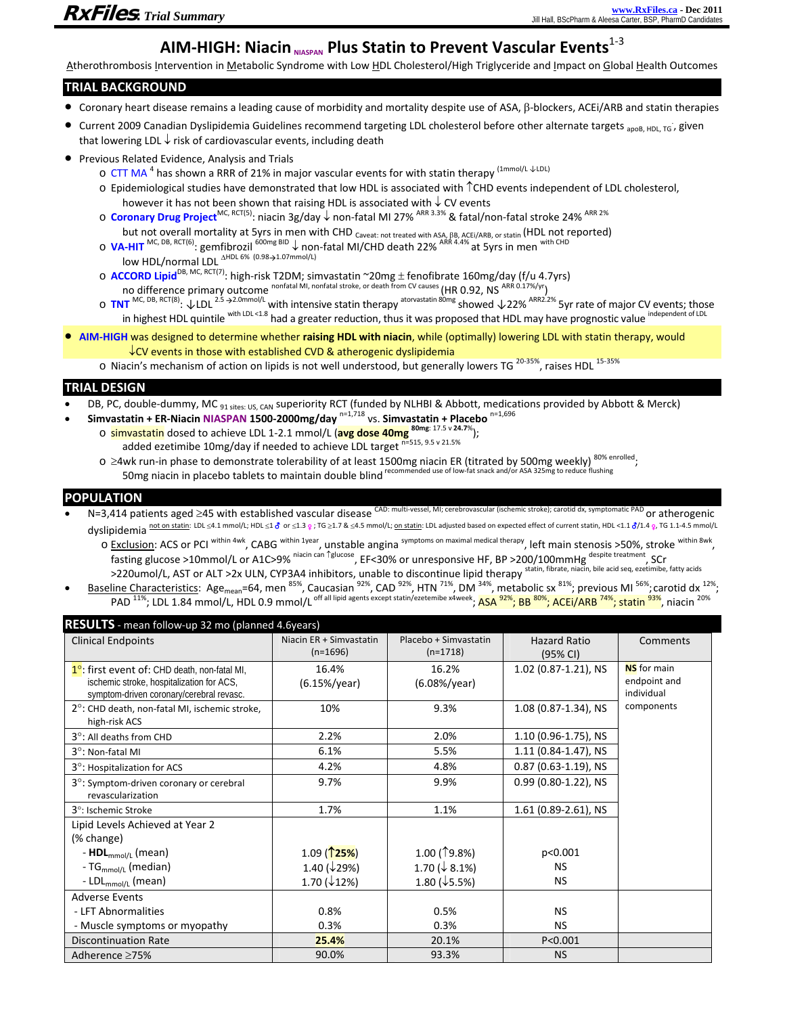# **AIM‐HIGH: Niacin NIASPAN Plus Statin to Prevent Vascular Events**<sup>1</sup>‐<sup>3</sup>

Atherothrombosis Intervention in Metabolic Syndrome with Low HDL Cholesterol/High Triglyceride and Impact on Global Health Outcomes

# **TRIAL BACKGROUND**

- Coronary heart disease remains a leading cause of morbidity and mortality despite use of ASA, β‐blockers, ACEi/ARB and statin therapies
- Current 2009 Canadian Dyslipidemia Guidelines recommend targeting LDL cholesterol before other alternate targets <sub>apoB, HDL, TG</sub>, given that lowering LDL  $\downarrow$  risk of cardiovascular events, including death
- Previous Related Evidence, Analysis and Trials
	- o CTT MA<sup>4</sup> has shown a RRR of 21% in major vascular events for with statin therapy <sup>(1mmol/L ↓LDL)</sup>
	- o Epidemiological studies have demonstrated that low HDL is associated with ↑CHD events independent of LDL cholesterol, however it has not been shown that raising HDL is associated with  $\downarrow$  CV events
	- o **Coronary Drug Project**MC, RCT(5): niacin 3g/day ↓ non‐fatal MI 27% ARR 3.3% & fatal/non‐fatal stroke 24% ARR 2% but not overall mortality at 5yrs in men with CHD <sub>Caveat: not treated with ASA, βB, ACEi/ARB, or statin (HDL not reported)</sub>
	- o **VA‐HIT** MC, DB, RCT(6): gemfibrozil 600mg BID ↓ non‐fatal MI/CHD death 22% ARR 4.4% at 5yrs in men with CHD  $\frac{10!}{100!}$ low HDL/normal LDL  $\frac{\Delta HDL \cdot 6\%}{100!}$  (0.98 $\rightarrow$ 1.07mmol/L)
	- o **ACCORD Lipid**DB, MC, RCT(7): high‐risk T2DM; simvastatin ~20mg ± fenofibrate 160mg/day (f/u 4.7yrs) no difference primary outcome nonfatal MI, nonfatal stroke, or death from CV causes (HR 0.92, NS ARR 0.17%/yr
	- o **TNT** MC, DB, RCT(8): ↓LDL <sup>2.5</sup> →2.0mmol/L with intensive statin therapy atorvastatin 80mg showed ↓22% ARR2.2% 5yr rate of major CV events; those in highest HDL quintile with LDL <1.8 had a greater reduction, thus it was proposed that HDL may have prognostic value independent of LDL<br>in highest HDL quintile with LDL <1.8 had a greater reduction, thus it was proposed
- **AIM‐HIGH** was designed to determine whether **raising HDL with niacin**, while (optimally) lowering LDL with statin therapy, would ↓CV events in those with established CVD & atherogenic dyslipidemia
	- o Niacin's mechanism of action on lipids is not well understood, but generally lowers TG<sup>20-35%</sup>, raises HDL<sup>15-35%</sup>

# **TRIAL DESIGN**

- DB, PC, double-dummy, MC 91 sites: US, CAN Superiority RCT (funded by NLHBI & Abbott, medications provided by Abbott & Merck)
- **Simvastatin + ER‐Niacin NIASPAN 1500‐2000mg/day** n=1,718 vs. **Simvastatin + Placebo** n=1,696
	- o simvastatin dosed to achieve LDL 1‐2.1 mmol/L (**avg dose 40mg 80mg**: 17.5 <sup>v</sup> **24.7**% ); added ezetimibe 10mg/day if needed to achieve LDL target <sup>n=515, 9.5 v 21.5%</sup>
		- o ≥4wk run-in phase to demonstrate tolerability of at least 1500mg niacin ER (titrated by 500mg weekly)<sup>80% enrolled</sup>; 50mg niacin in placebo tablets to maintain double blind recommended use of low-fat snack and/or ASA 325mg to reduce flushing

## **POPULATION**

- N=3,414 patients aged ≥45 with established vascular disease CAD: multi-vessel, MI; cerebrovascular (ischemic stroke); carotid dx, symptomatic PAD or atherogenic dyslipidemia not on statin: LDL ≤4.1 mmol/L; HDL ≤1 ∂ or ≤1.3 g; TG ≥1.7 & ≤4.5 mmol/L; on statin: LDL adjusted based on expected effect of current statin, HDL <1.1 ∂/1.4 g, TG 1.1-4.5 mmol/L
	- o Exclusion: ACS or PCI within 4wk, CABG within 1year, unstable angina symptoms on maximal medical therapy, left main stenosis >50%, stroke within 8wk <u>Fasting glucose</u> >10mmol/L or A1C>9% niacin can ↑glucose, EF<30% or unresponsive HF, BP >200/100mmHg despite treatment, SCr >220umol/L, AST or ALT >2x ULN, CYP3A4 inhibitors, unable to discontinue lipid therapy statin, fibrate, niacin, bile acid seq, ezetimibe, fatty acids
- Baseline Characteristics: Age<sub>mean</sub>=64, men <sup>85%</sup>, Caucasian <sup>92%</sup>, CAD <sup>92%</sup>, HTN <sup>71%</sup>, DM <sup>34%</sup>, metabolic sx <sup>81%</sup>; previous MI <sup>56%</sup>; carotid dx <sup>12%</sup>; PAD <sup>11%</sup>; LDL 1.84 mmol/L, HDL 0.9 mmol/L <sup>off all lipid agents except statin/ezetemibe x4week; <mark>ASA <sup>92%</sup>; BB <sup>80%</sup>; ACEi/ARB <sup>74%</sup>; statin <sup>93%</sup>, niacin <sup>20%</sup></sup></mark>

| RESULTS - mean follow-up 32 mo (planned 4.6years)                                                                                     |                                       |                                     |                                 |                                           |
|---------------------------------------------------------------------------------------------------------------------------------------|---------------------------------------|-------------------------------------|---------------------------------|-------------------------------------------|
| <b>Clinical Endpoints</b>                                                                                                             | Niacin ER + Simvastatin<br>$(n=1696)$ | Placebo + Simvastatin<br>$(n=1718)$ | <b>Hazard Ratio</b><br>(95% CI) | Comments                                  |
| 1°: first event of: CHD death, non-fatal MI,<br>ischemic stroke, hospitalization for ACS,<br>symptom-driven coronary/cerebral revasc. | 16.4%<br>$(6.15%)$ year)              | 16.2%<br>(6.08%/year)               | 1.02 (0.87-1.21), NS            | NS for main<br>endpoint and<br>individual |
| 2°: CHD death, non-fatal MI, ischemic stroke,<br>high-risk ACS                                                                        | 10%                                   | 9.3%                                | 1.08 (0.87-1.34), NS            | components                                |
| 3°: All deaths from CHD                                                                                                               | 2.2%                                  | 2.0%                                | 1.10 (0.96-1.75), NS            |                                           |
| 3°: Non-fatal MI                                                                                                                      | 6.1%                                  | 5.5%                                | 1.11 (0.84-1.47), NS            |                                           |
| 3°: Hospitalization for ACS                                                                                                           | 4.2%                                  | 4.8%                                | $0.87$ (0.63-1.19), NS          |                                           |
| 3°: Symptom-driven coronary or cerebral<br>revascularization                                                                          | 9.7%                                  | 9.9%                                | 0.99 (0.80-1.22), NS            |                                           |
| 3°: Ischemic Stroke                                                                                                                   | 1.7%                                  | 1.1%                                | $1.61$ (0.89-2.61), NS          |                                           |
| Lipid Levels Achieved at Year 2<br>(% change)                                                                                         |                                       |                                     |                                 |                                           |
| - $HDL_{mmol/L}$ (mean)                                                                                                               | $1.09$ ( <b>125%</b> )                | $1.00($ 19.8%)                      | p<0.001                         |                                           |
| - TG <sub>mmol/L</sub> (median)                                                                                                       | 1.40 ( $\sqrt{29\%}$ )                | 1.70 ( $\downarrow$ 8.1%)           | <b>NS</b>                       |                                           |
| - LDL <sub>mmol/L</sub> (mean)                                                                                                        | $1.70 \, (\frac{\downarrow}{22\%})$   | $1.80 \, (\sqrt{5.5\%})$            | <b>NS</b>                       |                                           |
| <b>Adverse Events</b>                                                                                                                 |                                       |                                     |                                 |                                           |
| - LFT Abnormalities                                                                                                                   | 0.8%                                  | 0.5%                                | <b>NS</b>                       |                                           |
| - Muscle symptoms or myopathy                                                                                                         | 0.3%                                  | 0.3%                                | <b>NS</b>                       |                                           |
| <b>Discontinuation Rate</b>                                                                                                           | 25.4%                                 | 20.1%                               | P < 0.001                       |                                           |
| Adherence $\geq$ 75%                                                                                                                  | 90.0%                                 | 93.3%                               | <b>NS</b>                       |                                           |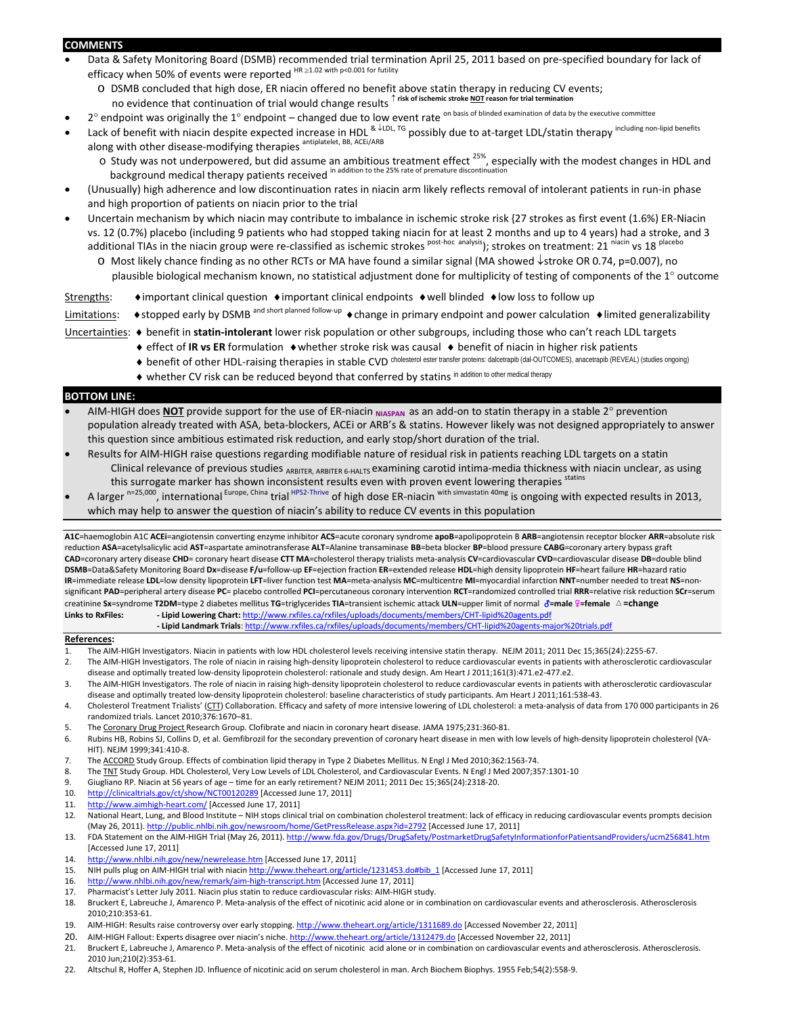### **COMMENTS**

- Data & Safety Monitoring Board (DSMB) recommended trial termination April 25, 2011 based on pre‐specified boundary for lack of efficacy when 50% of events were reported HR ≥1.02 with p<0.001 for futility
	- o DSMB concluded that high dose, ER niacin offered no benefit above statin therapy in reducing CV events; no evidence that continuation of trial would change results <sup>↑</sup> **risk of ischemic stroke NOT reason for trial termination**
	- 2° endpoint was originally the 1° endpoint changed due to low event rate <sup>on basis of blinded examination of data by the executive committee</sup>
- Lack of benefit with niacin despite expected increase in HDL & ↓LDL, TG possibly due to at-target LDL/statin therapy including non-lipid benefits along with other disease-modifying therapies antiplatelet, BB, ACEi/ARB

 $\circ$  Study was not underpowered, but did assume an ambitious treatment effect <sup>25%</sup>, especially with the modest changes in HDL and background medical therapy patients received in addition to the 25% rate of premature discontinuation

- (Unusually) high adherence and low discontinuation rates in niacin arm likely reflects removal of intolerant patients in run‐in phase and high proportion of patients on niacin prior to the trial
- Uncertain mechanism by which niacin may contribute to imbalance in ischemic stroke risk {27 strokes as first event (1.6%) ER‐Niacin vs. 12 (0.7%) placebo (including 9 patients who had stopped taking niacin for at least 2 months and up to 4 years) had a stroke, and 3 additional TIAs in the niacin group were re-classified as ischemic strokes post-hoc analysis); strokes on treatment: 21 niacin vs 18 place
	- o Most likely chance finding as no other RCTs or MA have found a similar signal (MA showed ↓stroke OR 0.74, p=0.007), no plausible biological mechanism known, no statistical adjustment done for multiplicity of testing of components of the 1° outcome
- Strengths: ♦important clinical question ♦important clinical endpoints ♦well blinded ♦low loss to follow up

Limitations: ◆stopped early by DSMB and short planned follow-up ◆change in primary endpoint and power calculation ◆limited generalizability

- Uncertainties: ♦ benefit in **statin‐intolerant** lower risk population or other subgroups, including those who can't reach LDL targets
	- ♦ effect of **IR vs ER** formulation ♦whether stroke risk was causal ♦ benefit of niacin in higher risk patients
	- ◆ benefit of other HDL-raising therapies in stable CVD cholesterol ester transfer proteins: dalcetrapib (dal-OUTCOMES), anacetrapib (REVEAL) (studies ongoing)
	- ♦ whether CV risk can be reduced beyond that conferred by statins in addition to other medical therapy

#### **BOTTOM LINE:**

- AIM‐HIGH does **NOT** provide support for the use of ER‐niacin **NIASPAN** as an add‐on to statin therapy in a stable 2° prevention population already treated with ASA, beta‐blockers, ACEi or ARB's & statins. However likely was not designed appropriately to answer this question since ambitious estimated risk reduction, and early stop/short duration of the trial.
- Results for AIM‐HIGH raise questions regarding modifiable nature of residual risk in patients reaching LDL targets on a statin Clinical relevance of previous studies ARBITER, ARBITER 6-HALTS examining carotid intima-media thickness with niacin unclear, as using this surrogate marker has shown inconsistent results even with proven event lowering therapies statins
- A larger n=25,000, international Europe, China trial HPS2-Thrive of high dose ER-niacin with simvastatin 40mg is ongoing with expected results in 2013, which may help to answer the question of niacin's ability to reduce CV events in this population

**A1C**=haemoglobin A1C **ACEi**=angiotensin converting enzyme inhibitor **ACS**=acute coronary syndrome **apoB**=apolipoprotein B **ARB**=angiotensin receptor blocker **ARR**=absolute risk reduction **ASA**=acetylsalicylic acid **AST**=aspartate aminotransferase **ALT**=Alanine transaminase **BB**=beta blocker **BP**=blood pressure **CABG**=coronary artery bypass graft **CAD**=coronary artery disease **CHD**= coronary heart disease **CTT MA**=cholesterol therapy trialists meta‐analysis **CV**=cardiovascular **CVD**=cardiovascular disease **DB**=double blind **DSMB**=Data&Safety Monitoring Board **Dx**=disease **F/u**=follow‐up **EF**=ejection fraction **ER**=extended release **HDL**=high density lipoprotein **HF**=heart failure **HR**=hazard ratio **IR**=immediate release **LDL**=low density lipoprotein **LFT**=liver function test **MA**=meta‐analysis **MC**=multicentre **MI**=myocardial infarction **NNT**=number needed to treat **NS**=non‐ significant **PAD**=peripheral artery disease **PC**= placebo controlled **PCI**=percutaneous coronary intervention **RCT**=randomized controlled trial **RRR**=relative risk reduction **SCr**=serum creatinine **Sx**=syndrome **T2DM**=type 2 diabetes mellitus **TG**=triglycerides **TIA**=transient ischemic attack **ULN**=upper limit of normal k**=male** l**=female** +**=change Links to RxFiles: ‐ Lipid Lowering Chart:** http://www.rxfiles.ca/rxfiles/uploads/documents/members/CHT‐lipid%20agents.pdf

**‐ Lipid Landmark Trials**: http://www.rxfiles.ca/rxfiles/uploads/documents/members/CHT‐lipid%20agents‐major%20trials.pdf

## **References:**

- 1. The AIM‐HIGH Investigators. Niacin in patients with low HDL cholesterol levels receiving intensive statin therapy. NEJM 2011; 2011 Dec 15;365(24):2255‐67.
- 2. The AIM‐HIGH Investigators. The role of niacin in raising high‐density lipoprotein cholesterol to reduce cardiovascular events in patients with atherosclerotic cardiovascular disease and optimally treated low‐density lipoprotein cholesterol: rationale and study design. Am Heart J 2011;161(3):471.e2‐477.e2.
- 3. The AIM‐HIGH Investigators. The role of niacin in raising high‐density lipoprotein cholesterol to reduce cardiovascular events in patients with atherosclerotic cardiovascular disease and optimally treated low‐density lipoprotein cholesterol: baseline characteristics of study participants. Am Heart J 2011;161:538‐43.
- 4. Cholesterol Treatment Trialists' (CTT) Collaboration. Efficacy and safety of more intensive lowering of LDL cholesterol: a meta-analysis of data from 170 000 participants in 26 randomized trials. Lancet 2010;376:1670–81.
- 5. The Coronary Drug Project Research Group. Clofibrate and niacin in coronary heart disease. JAMA 1975;231:360-81.
- 6. Rubins HB, Robins SJ, Collins D, et al. Gemfibrozil for the secondary prevention of coronary heart disease in men with low levels of high‐density lipoprotein cholesterol (VA‐ HIT). NEJM 1999;341:410‐8.
- 7. The ACCORD Study Group. Effects of combination lipid therapy in Type 2 Diabetes Mellitus. N Engl J Med 2010;362:1563-74.
- 8. The TNT Study Group. HDL Cholesterol, Very Low Levels of LDL Cholesterol, and Cardiovascular Events. N Engl J Med 2007;357:1301-10
- 9. Giugliano RP. Niacin at 56 years of age time for an early retirement? NEJM 2011; 2011 Dec 15;365(24):2318‐20.
- 10. http://clinicaltrials.gov/ct/show/NCT00120289</u> [Accessed June 17, 2011]
- 11. http://www.aimhigh-heart.com/ [Accessed June 17, 2011]<br>12. National Heart. Lung. and Blood Institute NIH stops clinics
- National Heart, Lung, and Blood Institute NIH stops clinical trial on combination cholesterol treatment: lack of efficacy in reducing cardiovascular events prompts decision (May 26, 2011). http://public.nhlbi.nih.gov/newsroom/home/GetPressRelease.aspx?id=2792 [Accessed June 17, 2011]
- 13. FDA Statement on the AIM-HIGH Trial (May 26, 2011). http://www.fda.gov/Drugs/DrugSafety/PostmarketDrugSafetyInformationforPatientsandProviders/ucm256841.htm [Accessed June 17, 2011]
- 14. http://www.nhlbi.nih.gov/new/newrelease.htm [Accessed June 17, 2011]
- 15. NIH pulls plug on AIM‐HIGH trial with niacin http://www.theheart.org/article/1231453.do#bib\_1 [Accessed June 17, 2011]
- 16. http://www.nhlbi.nih.gov/new/remark/aim-high-transcript.htm [Accessed June 17, 2011]
- 17. Pharmacist's Letter July 2011. Niacin plus statin to reduce cardiovascular risks: AIM‐HIGH study.
- 18. Bruckert E, Labreuche J, Amarenco P. Meta-analysis of the effect of nicotinic acid alone or in combination on cardiovascular events and atherosclerosis. Atherosclerosis 2010;210:353‐61.
- 19. AIM-HIGH: Results raise controversy over early stopping. http://www.theheart.org/article/1311689.do [Accessed November 22, 2011]
- 20. AIM-HIGH Fallout: Experts disagree over niacin's niche. http://www.theheart.org/article/1312479.do [Accessed November 22, 2011]
- 21. Bruckert E, Labreuche J, Amarenco P. Meta-analysis of the effect of nicotinic acid alone or in combination on cardiovascular events and atherosclerosis. Atherosclerosis. 2010 Jun;210(2):353‐61.
- 22. Altschul R, Hoffer A, Stephen JD. Influence of nicotinic acid on serum cholesterol in man. Arch Biochem Biophys. 1955 Feb;54(2):558‐9.